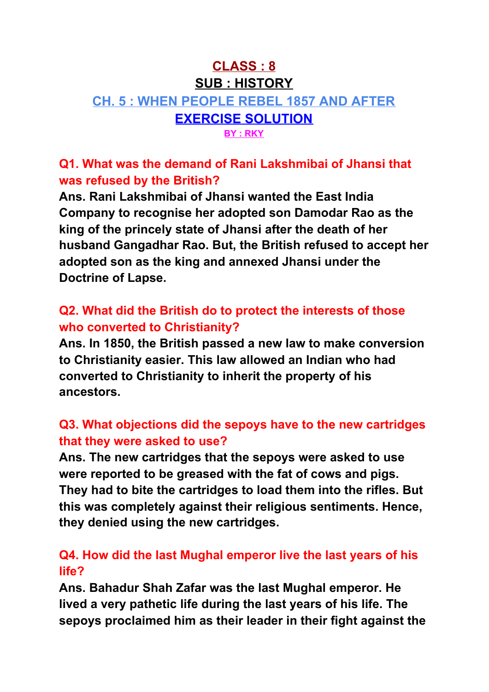# **CLASS : 8 SUB : HISTORY CH. 5 : WHEN PEOPLE REBEL 1857 AND AFTER EXERCISE SOLUTION BY : RKY**

**Q1. What was the demand of Rani Lakshmibai of Jhansi that was refused by the British?**

**Ans. Rani Lakshmibai of Jhansi wanted the East India Company to recognise her adopted son Damodar Rao as the king of the princely state of Jhansi after the death of her husband Gangadhar Rao. But, the British refused to accept her adopted son as the king and annexed Jhansi under the Doctrine of Lapse.**

#### **Q2. What did the British do to protect the interests of those who converted to Christianity?**

**Ans. In 1850, the British passed a new law to make conversion to Christianity easier. This law allowed an Indian who had converted to Christianity to inherit the property of his ancestors.**

### **Q3. What objections did the sepoys have to the new cartridges that they were asked to use?**

**Ans. The new cartridges that the sepoys were asked to use were reported to be greased with the fat of cows and pigs. They had to bite the cartridges to load them into the rifles. But this was completely against their religious sentiments. Hence, they denied using the new cartridges.**

### **Q4. How did the last Mughal emperor live the last years of his life?**

**Ans. Bahadur Shah Zafar was the last Mughal emperor. He lived a very pathetic life during the last years of his life. The sepoys proclaimed him as their leader in their fight against the**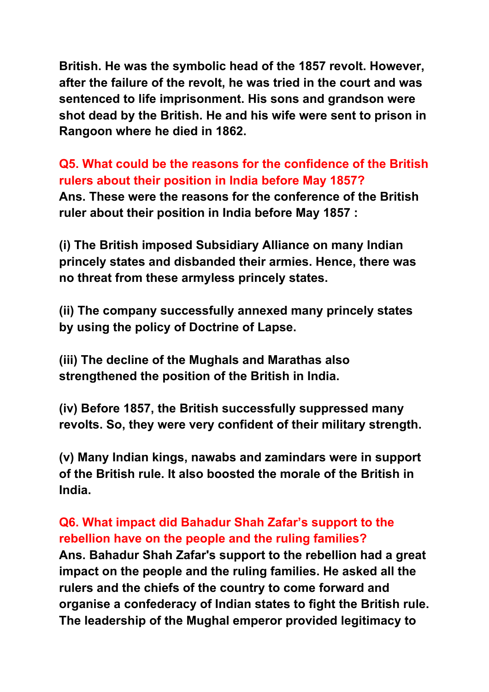**British. He was the symbolic head of the 1857 revolt. However, after the failure of the revolt, he was tried in the court and was sentenced to life imprisonment. His sons and grandson were shot dead by the British. He and his wife were sent to prison in Rangoon where he died in 1862.**

**Q5. What could be the reasons for the confidence of the British rulers about their position in India before May 1857? Ans. These were the reasons for the conference of the British ruler about their position in India before May 1857 :**

**(i) The British imposed Subsidiary Alliance on many Indian princely states and disbanded their armies. Hence, there was no threat from these armyless princely states.**

**(ii) The company successfully annexed many princely states by using the policy of Doctrine of Lapse.**

**(iii) The decline of the Mughals and Marathas also strengthened the position of the British in India.**

**(iv) Before 1857, the British successfully suppressed many revolts. So, they were very confident of their military strength.**

**(v) Many Indian kings, nawabs and zamindars were in support of the British rule. It also boosted the morale of the British in India.**

## **Q6. What impact did Bahadur Shah Zafar's support to the rebellion have on the people and the ruling families?**

**Ans. Bahadur Shah Zafar's support to the rebellion had a great impact on the people and the ruling families. He asked all the rulers and the chiefs of the country to come forward and organise a confederacy of Indian states to fight the British rule. The leadership of the Mughal emperor provided legitimacy to**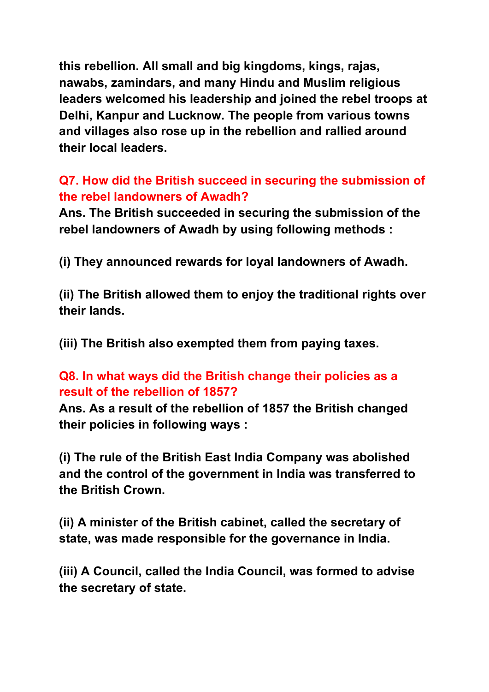**this rebellion. All small and big kingdoms, kings, rajas, nawabs, zamindars, and many Hindu and Muslim religious leaders welcomed his leadership and joined the rebel troops at Delhi, Kanpur and Lucknow. The people from various towns and villages also rose up in the rebellion and rallied around their local leaders.**

## **Q7. How did the British succeed in securing the submission of the rebel landowners of Awadh?**

**Ans. The British succeeded in securing the submission of the rebel landowners of Awadh by using following methods :**

**(i) They announced rewards for loyal landowners of Awadh.**

**(ii) The British allowed them to enjoy the traditional rights over their lands.**

**(iii) The British also exempted them from paying taxes.**

#### **Q8. In what ways did the British change their policies as a result of the rebellion of 1857?**

**Ans. As a result of the rebellion of 1857 the British changed their policies in following ways :**

**(i) The rule of the British East India Company was abolished and the control of the government in India was transferred to the British Crown.**

**(ii) A minister of the British cabinet, called the secretary of state, was made responsible for the governance in India.**

**(iii) A Council, called the India Council, was formed to advise the secretary of state.**